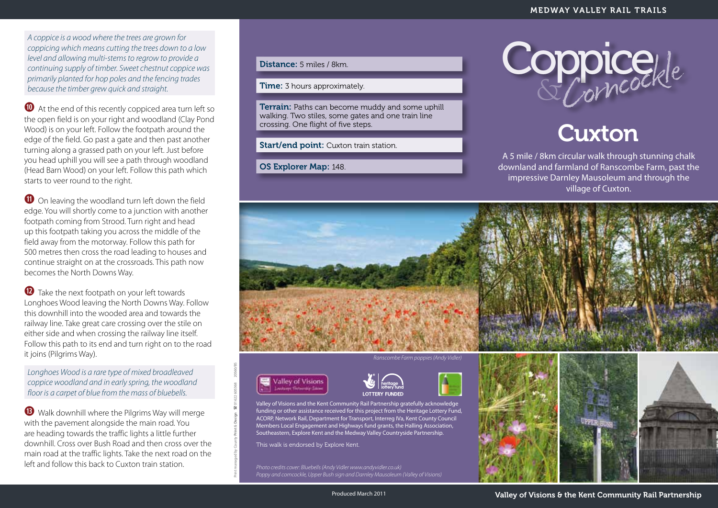*A coppice is a wood where the trees are grown for coppicing which means cutting the trees down to a low level and allowing multi-stems to regrow to provide a continuing supply of timber. Sweet chestnut coppice was primarily planted for hop poles and the fencing trades because the timber grew quick and straight.* 

**<sup>10</sup>** At the end of this recently coppiced area turn left so the open field is on your right and woodland (Clay Pond Wood) is on your left. Follow the footpath around the edge of the field. Go past a gate and then past another turning along a grassed path on your left. Just before you head uphill you will see a path through woodland (Head Barn Wood) on your left. Follow this path which starts to veer round to the right.

 $\bullet$  On leaving the woodland turn left down the field edge. You will shortly come to a junction with another footpath coming from Strood. Turn right and head up this footpath taking you across the middle of the field away from the motorway. Follow this path for 500 metres then cross the road leading to houses and continue straight on at the crossroads. This path now becomes the North Downs Way.

**<sup>1</sup>** Take the next footpath on your left towards Longhoes Wood leaving the North Downs Way. Follow this downhill into the wooded area and towards the railway line. Take great care crossing over the stile on either side and when crossing the railway line itself. Follow this path to its end and turn right on to the road it joins (Pilgrims Way).

*Longhoes Wood is a rare type of mixed broadleaved coppice woodland and in early spring, the woodland floor is a carpet of blue from the mass of bluebells.* 

**f** Walk downhill where the Pilgrims Way will merge with the pavement alongside the main road. You are heading towards the traffic lights a little further downhill. Cross over Bush Road and then cross over the main road at the traffic lights. Take the next road on the left and follow this back to Cuxton train station.

## Distance: 5 miles / 8km.

**Time:** 3 hours approximately.

**Terrain:** Paths can become muddy and some uphill walking. Two stiles, some gates and one train line crossing. One flight of five steps.

Start/end point: Cuxton train station.

OS Explorer Map: 148.



## **Cuxton**

A 5 mile / 8km circular walk through stunning chalk downland and farmland of Ranscombe Farm, past the impressive Darnley Mausoleum and through the village of Cuxton.



*Ranscombe Farm poppies (Andy Vidler)*



Print managed by County **Print** & **Design** ( 01622 605368 20560/BS



Valley of Visions and the Kent Community Rail Partnership gratefully acknowledge funding or other assistance received for this project from the Heritage Lottery Fund, ACORP, Network Rail, Department for Transport, Interreg IVa, Kent County Council Members Local Engagement and Highways fund grants, the Halling Association, Southeastern, Explore Kent and the Medway Valley Countryside Partnership.

This walk is endorsed by Explore Kent.

*Photo credits cover: Bluebells (Andy Vidler www.andyvidler.co.uk) Poppy and corncockle, Upper Bush sign and Darnley Mausoleum (Valley of Visions)*



Produced March 2011

Valley of Visions & the Kent Community Rail Partnership